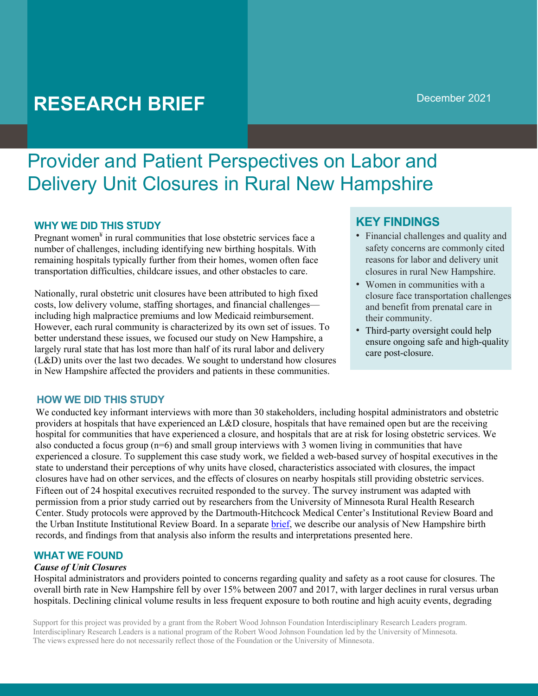# **RESEARCH BRIEF**

## Provider and Patient Perspectives on Labor and Delivery Unit Closures in Rural New Hampshire

#### **WHY WE DID THIS STUDY**

Pregnant women $\frac{4}{3}$  in rural communities that lose obstetric services face a number of challenges, including identifying new birthing hospitals. With remaining hospitals typically further from their homes, women often face transportation difficulties, childcare issues, and other obstacles to care.

Nationally, rural obstetric unit closures have been attributed to high fixed costs, low delivery volume, staffing shortages, and financial challenges including high malpractice premiums and low Medicaid reimbursement. However, each rural community is characterized by its own set of issues. To better understand these issues, we focused our study on New Hampshire, a largely rural state that has lost more than half of its rural labor and delivery (L&D) units over the last two decades. We sought to understand how closures in New Hampshire affected the providers and patients in these communities.

### **KEY FINDINGS**

- Financial challenges and quality and safety concerns are commonly cited reasons for labor and delivery unit closures in rural New Hampshire.
- Women in communities with a closure face transportation challenges and benefit from prenatal care in their community.
- Third-party oversight could help ensure ongoing safe and high-quality care post-closure.

#### **HOW WE DID THIS STUDY**

We conducted key informant interviews with more than 30 stakeholders, including hospital administrators and obstetric providers at hospitals that have experienced an L&D closure, hospitals that have remained open but are the receiving hospital for communities that have experienced a closure, and hospitals that are at risk for losing obstetric services. We also conducted a focus group  $(n=6)$  and small group interviews with 3 women living in communities that have experienced a closure. To supplement this case study work, we fielded a web-based survey of hospital executives in the state to understand their perceptions of why units have closed, characteristics associated with closures, the impact closures have had on other services, and the effects of closures on nearby hospitals still providing obstetric services. Fifteen out of 24 hospital executives recruited responded to the survey. The survey instrument was adapted with permission from a prior study carried out by researchers from the University of Minnesota Rural Health Research Center. Study protocols were approved by the Dartmouth-Hitchcock Medical Center's Institutional Review Board and the Urban Institute Institutional Review Board. In a separate brief, we describe our analysis of New Hampshire birth records, and findings from that analysis also inform the results and interpretations presented here.

#### **WHAT WE FOUND**

#### *Cause of Unit Closures*

Hospital administrators and providers pointed to concerns regarding quality and safety as a root cause for closures. The overall birth rate in New Hampshire fell by over 15% between 2007 and 2017, with larger declines in rural versus urban hospitals. Declining clinical volume results in less frequent exposure to both routine and high acuity events, degrading

Support for this project was provided by a grant from the Robert Wood Johnson Foundation Interdisciplinary Research Leaders program. Interdisciplinary Research Leaders is a national program of the Robert Wood Johnson Foundation led by the University of Minnesota. The views expressed here do not necessarily reflect those of the Foundation or the University of Minnesota.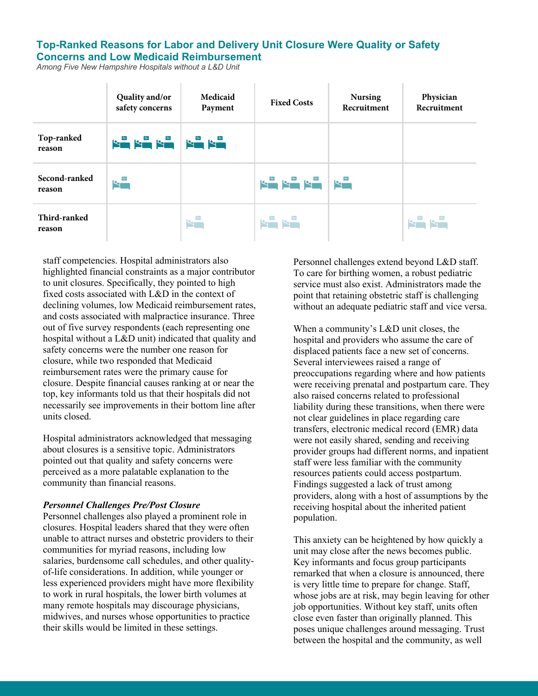#### **Top-Ranked Reasons for Labor and Delivery Unit Closure Were Quality or Safety Concerns and Low Medicaid Reimbursement**

*Among Five New Hampshire Hospitals without a L&D Unit*

|                         | Quality and/or<br>safety concerns | Medicaid<br>Payment | <b>Fixed Costs</b>     | <b>Nursing</b><br>Recruitment | Physician<br>Recruitment |
|-------------------------|-----------------------------------|---------------------|------------------------|-------------------------------|--------------------------|
| Top-ranked<br>reason    | التام التام التام التام التام     |                     |                        |                               |                          |
| Second-ranked<br>reason | $R^*$                             |                     | <b>Kin kin kin</b> kin |                               |                          |
| Third-ranked<br>reason  |                                   | $R^w$               | $R^{\omega}R^{\omega}$ |                               | <b>SERVER</b>            |

staff competencies. Hospital administrators also highlighted financial constraints as a major contributor to unit closures. Specifically, they pointed to high fixed costs associated with L&D in the context of declining volumes, low Medicaid reimbursement rates, and costs associated with malpractice insurance. Three out of five survey respondents (each representing one hospital without a L&D unit) indicated that quality and safety concerns were the number one reason for closure, while two responded that Medicaid reimbursement rates were the primary cause for closure. Despite financial causes ranking at or near the top, key informants told us that their hospitals did not necessarily see improvements in their bottom line after units closed.

Hospital administrators acknowledged that messaging about closures is a sensitive topic. Administrators pointed out that quality and safety concerns were perceived as a more palatable explanation to the community than financial reasons.

#### *Personnel Challenges Pre/Post Closure*

Personnel challenges also played a prominent role in closures. Hospital leaders shared that they were often unable to attract nurses and obstetric providers to their communities for myriad reasons, including low salaries, burdensome call schedules, and other qualityof-life considerations. In addition, while younger or less experienced providers might have more flexibility to work in rural hospitals, the lower birth volumes at many remote hospitals may discourage physicians, midwives, and nurses whose opportunities to practice their skills would be limited in these settings.

Personnel challenges extend beyond L&D staff. To care for birthing women, a robust pediatric service must also exist. Administrators made the point that retaining obstetric staff is challenging without an adequate pediatric staff and vice versa.

When a community's L&D unit closes, the hospital and providers who assume the care of displaced patients face a new set of concerns. Several interviewees raised a range of preoccupations regarding where and how patients were receiving prenatal and postpartum care. They also raised concerns related to professional liability during these transitions, when there were not clear guidelines in place regarding care transfers, electronic medical record (EMR) data were not easily shared, sending and receiving provider groups had different norms, and inpatient staff were less familiar with the community resources patients could access postpartum. Findings suggested a lack of trust among providers, along with a host of assumptions by the receiving hospital about the inherited patient population.

This anxiety can be heightened by how quickly a unit may close after the news becomes public. Key informants and focus group participants remarked that when a closure is announced, there is very little time to prepare for change. Staff, whose jobs are at risk, may begin leaving for other job opportunities. Without key staff, units often close even faster than originally planned. This poses unique challenges around messaging. Trust between the hospital and the community, as well